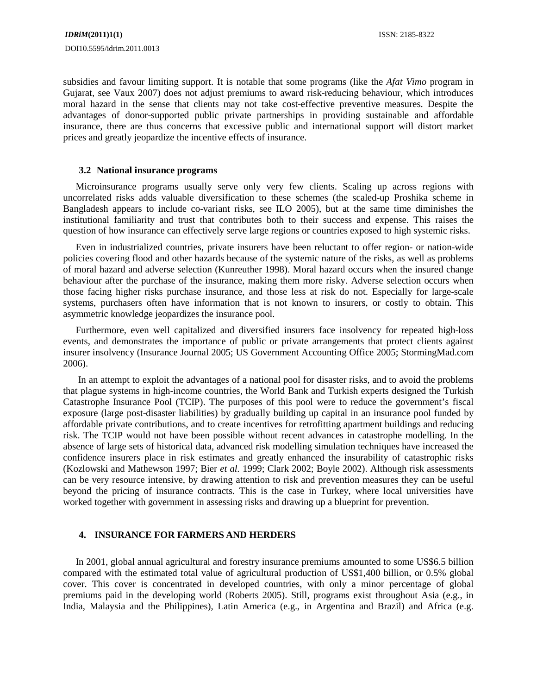subsidies and favour limiting support. It is notable that some programs (like the *Afat Vimo* program in Gujarat, see Vaux 2007) does not adjust premiums to award risk-reducing behaviour, which introduces moral hazard in the sense that clients may not take cost-effective preventive measures. Despite the advantages of donor-supported public private partnerships in providing sustainable and affordable insurance, there are thus concerns that excessive public and international support will distort market prices and greatly jeopardize the incentive effects of insurance.

## **3.2 National insurance programs**

Microinsurance programs usually serve only very few clients. Scaling up across regions with uncorrelated risks adds valuable diversification to these schemes (the scaled-up Proshika scheme in Bangladesh appears to include co-variant risks, see ILO 2005), but at the same time diminishes the institutional familiarity and trust that contributes both to their success and expense. This raises the question of how insurance can effectively serve large regions or countries exposed to high systemic risks.

Even in industrialized countries, private insurers have been reluctant to offer region- or nation-wide policies covering flood and other hazards because of the systemic nature of the risks, as well as problems of moral hazard and adverse selection (Kunreuther 1998). Moral hazard occurs when the insured change behaviour after the purchase of the insurance, making them more risky. Adverse selection occurs when those facing higher risks purchase insurance, and those less at risk do not. Especially for large-scale systems, purchasers often have information that is not known to insurers, or costly to obtain. This asymmetric knowledge jeopardizes the insurance pool.

Furthermore, even well capitalized and diversified insurers face insolvency for repeated high-loss events, and demonstrates the importance of public or private arrangements that protect clients against insurer insolvency (Insurance Journal 2005; US Government Accounting Office 2005; StormingMad.com 2006).

 In an attempt to exploit the advantages of a national pool for disaster risks, and to avoid the problems that plague systems in high-income countries, the World Bank and Turkish experts designed the Turkish Catastrophe Insurance Pool (TCIP). The purposes of this pool were to reduce the government's fiscal exposure (large post-disaster liabilities) by gradually building up capital in an insurance pool funded by affordable private contributions, and to create incentives for retrofitting apartment buildings and reducing risk. The TCIP would not have been possible without recent advances in catastrophe modelling. In the absence of large sets of historical data, advanced risk modelling simulation techniques have increased the confidence insurers place in risk estimates and greatly enhanced the insurability of catastrophic risks (Kozlowski and Mathewson 1997; Bier *et al.* 1999; Clark 2002; Boyle 2002). Although risk assessments can be very resource intensive, by drawing attention to risk and prevention measures they can be useful beyond the pricing of insurance contracts. This is the case in Turkey, where local universities have worked together with government in assessing risks and drawing up a blueprint for prevention.

## **4. INSURANCE FOR FARMERS AND HERDERS**

In 2001, global annual agricultural and forestry insurance premiums amounted to some US\$6.5 billion compared with the estimated total value of agricultural production of US\$1,400 billion, or 0.5% global cover. This cover is concentrated in developed countries, with only a minor percentage of global premiums paid in the developing world (Roberts 2005). Still, programs exist throughout Asia (e.g., in India, Malaysia and the Philippines), Latin America (e.g., in Argentina and Brazil) and Africa (e.g.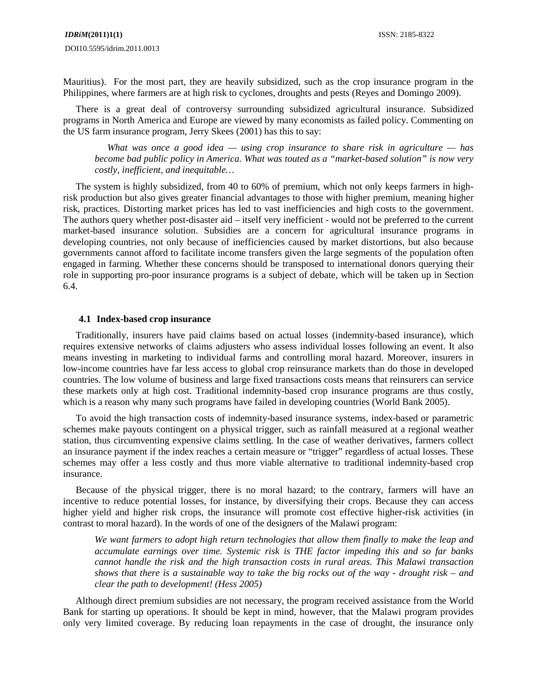Mauritius). For the most part, they are heavily subsidized, such as the crop insurance program in the Philippines, where farmers are at high risk to cyclones, droughts and pests (Reyes and Domingo 2009).

There is a great deal of controversy surrounding subsidized agricultural insurance. Subsidized programs in North America and Europe are viewed by many economists as failed policy. Commenting on the US farm insurance program, Jerry Skees (2001) has this to say:

*What was once a good idea — using crop insurance to share risk in agriculture — has become bad public policy in America. What was touted as a "market-based solution" is now very costly, inefficient, and inequitable…*

The system is highly subsidized, from 40 to 60% of premium, which not only keeps farmers in highrisk production but also gives greater financial advantages to those with higher premium, meaning higher risk, practices. Distorting market prices has led to vast inefficiencies and high costs to the government. The authors query whether post-disaster aid – itself very inefficient - would not be preferred to the current market-based insurance solution. Subsidies are a concern for agricultural insurance programs in developing countries, not only because of inefficiencies caused by market distortions, but also because governments cannot afford to facilitate income transfers given the large segments of the population often engaged in farming. Whether these concerns should be transposed to international donors querying their role in supporting pro-poor insurance programs is a subject of debate, which will be taken up in Section 6.4.

## **4.1 Index-based crop insurance**

Traditionally, insurers have paid claims based on actual losses (indemnity-based insurance), which requires extensive networks of claims adjusters who assess individual losses following an event. It also means investing in marketing to individual farms and controlling moral hazard. Moreover, insurers in low-income countries have far less access to global crop reinsurance markets than do those in developed countries. The low volume of business and large fixed transactions costs means that reinsurers can service these markets only at high cost. Traditional indemnity-based crop insurance programs are thus costly, which is a reason why many such programs have failed in developing countries (World Bank 2005).

To avoid the high transaction costs of indemnity-based insurance systems, index-based or parametric schemes make payouts contingent on a physical trigger, such as rainfall measured at a regional weather station, thus circumventing expensive claims settling. In the case of weather derivatives, farmers collect an insurance payment if the index reaches a certain measure or "trigger" regardless of actual losses. These schemes may offer a less costly and thus more viable alternative to traditional indemnity-based crop insurance.

Because of the physical trigger, there is no moral hazard; to the contrary, farmers will have an incentive to reduce potential losses, for instance, by diversifying their crops. Because they can access higher yield and higher risk crops, the insurance will promote cost effective higher-risk activities (in contrast to moral hazard). In the words of one of the designers of the Malawi program:

*We want farmers to adopt high return technologies that allow them finally to make the leap and accumulate earnings over time. Systemic risk is THE factor impeding this and so far banks cannot handle the risk and the high transaction costs in rural areas. This Malawi transaction shows that there is a sustainable way to take the big rocks out of the way - drought risk – and clear the path to development! (Hess 2005)* 

Although direct premium subsidies are not necessary, the program received assistance from the World Bank for starting up operations. It should be kept in mind, however, that the Malawi program provides only very limited coverage. By reducing loan repayments in the case of drought, the insurance only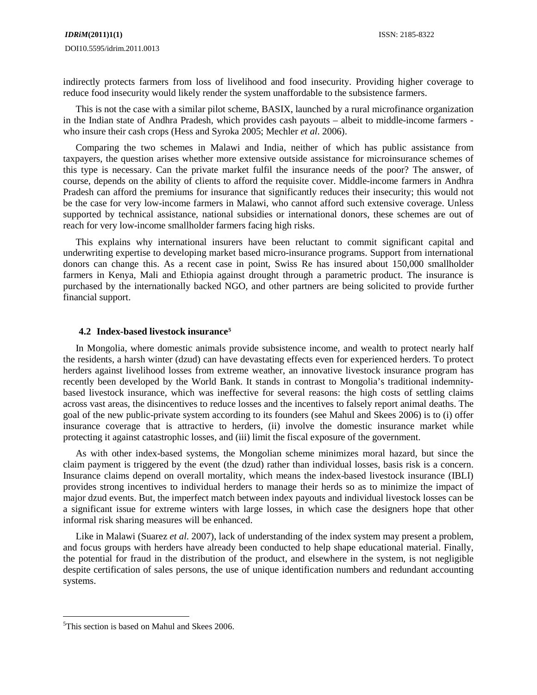indirectly protects farmers from loss of livelihood and food insecurity. Providing higher coverage to reduce food insecurity would likely render the system unaffordable to the subsistence farmers.

This is not the case with a similar pilot scheme, BASIX, launched by a rural microfinance organization in the Indian state of Andhra Pradesh, which provides cash payouts – albeit to middle-income farmers who insure their cash crops (Hess and Syroka 2005; Mechler *et al*. 2006).

Comparing the two schemes in Malawi and India, neither of which has public assistance from taxpayers, the question arises whether more extensive outside assistance for microinsurance schemes of this type is necessary. Can the private market fulfil the insurance needs of the poor? The answer, of course, depends on the ability of clients to afford the requisite cover. Middle-income farmers in Andhra Pradesh can afford the premiums for insurance that significantly reduces their insecurity; this would not be the case for very low-income farmers in Malawi, who cannot afford such extensive coverage. Unless supported by technical assistance, national subsidies or international donors, these schemes are out of reach for very low-income smallholder farmers facing high risks.

This explains why international insurers have been reluctant to commit significant capital and underwriting expertise to developing market based micro-insurance programs. Support from international donors can change this. As a recent case in point, Swiss Re has insured about 150,000 smallholder farmers in Kenya, Mali and Ethiopia against drought through a parametric product. The insurance is purchased by the internationally backed NGO, and other partners are being solicited to provide further financial support.

## **4.2 Index-based livestock insurance[5](#page-9-0)**

In Mongolia, where domestic animals provide subsistence income, and wealth to protect nearly half the residents, a harsh winter (dzud) can have devastating effects even for experienced herders. To protect herders against livelihood losses from extreme weather, an innovative livestock insurance program has recently been developed by the World Bank. It stands in contrast to Mongolia's traditional indemnitybased livestock insurance, which was ineffective for several reasons: the high costs of settling claims across vast areas, the disincentives to reduce losses and the incentives to falsely report animal deaths. The goal of the new public-private system according to its founders (see Mahul and Skees 2006) is to (i) offer insurance coverage that is attractive to herders, (ii) involve the domestic insurance market while protecting it against catastrophic losses, and (iii) limit the fiscal exposure of the government.

As with other index-based systems, the Mongolian scheme minimizes moral hazard, but since the claim payment is triggered by the event (the dzud) rather than individual losses, basis risk is a concern. Insurance claims depend on overall mortality, which means the index-based livestock insurance (IBLI) provides strong incentives to individual herders to manage their herds so as to minimize the impact of major dzud events. But, the imperfect match between index payouts and individual livestock losses can be a significant issue for extreme winters with large losses, in which case the designers hope that other informal risk sharing measures will be enhanced.

Like in Malawi (Suarez *et al.* 2007), lack of understanding of the index system may present a problem, and focus groups with herders have already been conducted to help shape educational material. Finally, the potential for fraud in the distribution of the product, and elsewhere in the system, is not negligible despite certification of sales persons, the use of unique identification numbers and redundant accounting systems.

 $\overline{a}$ 

<span id="page-9-0"></span><sup>&</sup>lt;sup>5</sup>This section is based on Mahul and Skees 2006.